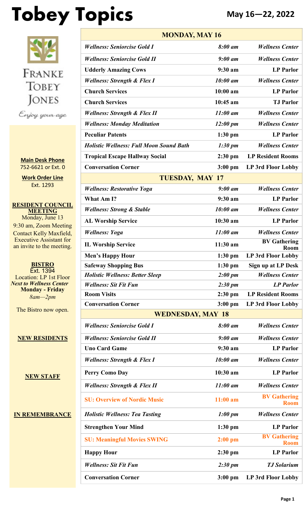# **Tobey Topics May 16—22, 2022**



**Main Desk Phone** 752-6621 or Ext. 0

**Work Order Line** Ext. 1293

**RESIDENT COUNCIL MEETING** Monday, June 13 9:30 am, Zoom Meeting Contact Kelly Maxfield, Executive Assistant for an invite to the meeting.

**BISTRO** Ext. 1394 Location: LP 1st Floor *Next to Wellness Center* **Monday - Friday** *8am—2pm*

The Bistro now open.

**NEW RESIDENTS**

**NEW STAFF**

**IN REMEMBRANCE**

| <b>MONDAY, MAY 16</b>                          |                     |                                    |  |  |
|------------------------------------------------|---------------------|------------------------------------|--|--|
| <b>Wellness: Seniorcise Gold I</b>             | $8:00$ am           | <b>Wellness Center</b>             |  |  |
| <b>Wellness: Seniorcise Gold II</b>            | $9:00$ am           | <b>Wellness Center</b>             |  |  |
| <b>Udderly Amazing Cows</b>                    | 9:30 a m            | <b>LP</b> Parlor                   |  |  |
| <b>Wellness: Strength &amp; Flex I</b>         | 10:00 am            | <b>Wellness Center</b>             |  |  |
| <b>Church Services</b>                         | $10:00$ am          | <b>LP</b> Parlor                   |  |  |
| <b>Church Services</b>                         | $10:45$ am          | <b>TJ</b> Parlor                   |  |  |
| <b>Wellness: Strength &amp; Flex II</b>        | $11:00$ am          | <b>Wellness Center</b>             |  |  |
| <b>Wellness: Monday Meditation</b>             | $12:00 \text{ pm}$  | <b>Wellness Center</b>             |  |  |
| <b>Peculiar Patents</b>                        | $1:30$ pm           | <b>LP</b> Parlor                   |  |  |
| <b>Holistic Wellness: Full Moon Sound Bath</b> | $1:30 \text{ pm}$   | <b>Wellness Center</b>             |  |  |
| <b>Tropical Escape Hallway Social</b>          | $2:30$ pm           | <b>LP Resident Rooms</b>           |  |  |
| <b>Conversation Corner</b>                     | $3:00$ pm           | LP 3rd Floor Lobby                 |  |  |
| <b>TUESDAY, MAY 17</b>                         |                     |                                    |  |  |
| <b>Wellness: Restorative Yoga</b>              | $9:00$ am           | <b>Wellness Center</b>             |  |  |
| What Am I?                                     | $9:30$ am           | <b>LP</b> Parlor                   |  |  |
| <b>Wellness: Strong &amp; Stable</b>           | 10:00 am            | <b>Wellness Center</b>             |  |  |
| <b>AL Worship Service</b>                      | 10:30 am            | <b>LP</b> Parlor                   |  |  |
| <b>Wellness: Yoga</b>                          | $11:00$ am          | <b>Wellness Center</b>             |  |  |
| <b>IL Worship Service</b>                      | $11:30$ am          | <b>BV Gathering</b><br><b>Room</b> |  |  |
| <b>Men's Happy Hour</b>                        | $1:30$ pm           | LP 3rd Floor Lobby                 |  |  |
| <b>Safeway Shopping Bus</b>                    | $1:30$ pm           | Sign up at LP Desk                 |  |  |
| <b>Holistic Wellness: Better Sleep</b>         | 2:00~pm             | <b>Wellness Center</b>             |  |  |
| <b>Wellness: Sit Fit Fun</b>                   | 2:30~pm             | <b>LP</b> Parlor                   |  |  |
| <b>Room Visits</b>                             | $2:30$ pm           | <b>LP Resident Rooms</b>           |  |  |
| <b>Conversation Corner</b>                     | $3:00$ pm           | LP 3rd Floor Lobby                 |  |  |
| <b>WEDNESDAY, MAY 18</b>                       |                     |                                    |  |  |
| <b>Wellness: Seniorcise Gold I</b>             | 8:00 am             | <b>Wellness Center</b>             |  |  |
| <b>Wellness: Seniorcise Gold II</b>            | $9:00$ am           | <b>Wellness Center</b>             |  |  |
| <b>Uno Card Game</b>                           | $9:30$ am           | <b>LP Parlor</b>                   |  |  |
| <b>Wellness: Strength &amp; Flex I</b>         | 10:00 am            | <b>Wellness Center</b>             |  |  |
| <b>Perry Como Day</b>                          | 10:30 am            | <b>LP Parlor</b>                   |  |  |
| <b>Wellness: Strength &amp; Flex II</b>        | $11:00$ am          | <b>Wellness Center</b>             |  |  |
| <b>SU: Overview of Nordic Music</b>            | $11:00$ am          | <b>BV Gathering</b><br><b>Room</b> |  |  |
| <b>Holistic Wellness: Tea Tasting</b>          | $1:00 \; \text{pm}$ | <b>Wellness Center</b>             |  |  |
| <b>Strengthen Your Mind</b>                    | $1:30$ pm           | <b>LP Parlor</b>                   |  |  |
| <b>SU: Meaningful Movies SWING</b>             | $2:00$ pm           | <b>BV Gathering</b><br><b>Room</b> |  |  |
| <b>Happy Hour</b>                              | $2:30$ pm           | <b>LP</b> Parlor                   |  |  |
| <b>Wellness: Sit Fit Fun</b>                   | $2:30 \text{ pm}$   | <b>TJ</b> Solarium                 |  |  |
| <b>Conversation Corner</b>                     | $3:00$ pm           | <b>LP 3rd Floor Lobby</b>          |  |  |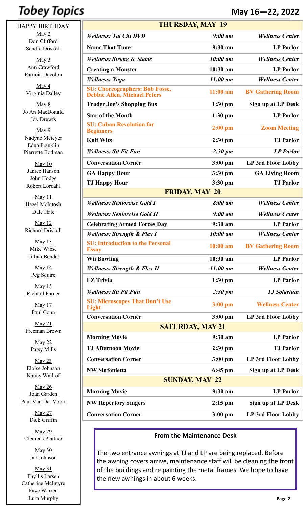# **Tobey Topics**

HAPPY BIRTHDAY May 2 Don Clifford Sandra Driskell

> May 3 Ann Crawford Patricia Ducolon

May 4 Virginia Dalley

May 8 Jo An MacDonald Joy Drewfs

May 9 Nadyne Meteyer Edna Franklin Pierrette Bodman

May 10 Janice Hanson John Hodge Robert Lordahl

May 11 Hazel McIntosh Dale Hale

May 12 Richard Driskell

May 13 Mike Wiese Lillian Bender

> May 14 Peg Squire

May 15 Richard Farner

> May 17 Paul Conn

May 21 Freeman Brown

> May 22 Patsy Mills

May 23 Eloise Johnson Nancy Wallrof

May 26 Joan Garden Paul Van Der Voort

> May 27 Dick Griffin

May 29 Clemens Plattner

> May 30 Jan Johnson

May 31 Phyllis Larsen Catherine McIntyre Faye Warren Lura Murphy

|                                                                              |                         | May 16-22, 2022          |
|------------------------------------------------------------------------------|-------------------------|--------------------------|
|                                                                              | <b>THURSDAY, MAY 19</b> |                          |
| <b>Wellness: Tai Chi DVD</b>                                                 | $9:00$ am               | <b>Wellness Center</b>   |
| <b>Name That Tune</b>                                                        | 9:30 am                 | <b>LP</b> Parlor         |
| <b>Wellness: Strong &amp; Stable</b>                                         | 10:00 am                | <b>Wellness Center</b>   |
| <b>Creating a Monster</b>                                                    | $10:30$ am              | <b>LP</b> Parlor         |
| <b>Wellness: Yoga</b>                                                        | $11:00$ am              | <b>Wellness Center</b>   |
| <b>SU: Choreographers: Bob Fosse,</b><br><b>Debbie Allen, Michael Peters</b> | $11:00$ am              | <b>BV Gathering Room</b> |
| <b>Trader Joe's Shopping Bus</b>                                             | $1:30$ pm               | Sign up at LP Desk       |
| <b>Star of the Month</b>                                                     | $1:30$ pm               | <b>LP</b> Parlor         |
| <b>SU: Cuban Revolution for</b><br><b>Beginners</b>                          | $2:00$ pm               | <b>Zoom Meeting</b>      |
| <b>Knit Wits</b>                                                             | $2:30$ pm               | <b>TJ</b> Parlor         |
| <b>Wellness: Sit Fit Fun</b>                                                 | $2:30 \text{ pm}$       | <b>LP</b> Parlor         |
| <b>Conversation Corner</b>                                                   | $3:00$ pm               | LP 3rd Floor Lobby       |
| <b>GA Happy Hour</b>                                                         | $3:30$ pm               | <b>GA Living Room</b>    |
| <b>TJ Happy Hour</b>                                                         | $3:30$ pm               | <b>TJ</b> Parlor         |
|                                                                              | <b>FRIDAY, MAY 20</b>   |                          |
| <b>Wellness: Seniorcise Gold I</b>                                           | 8:00 am                 | <b>Wellness Center</b>   |
| <b>Wellness: Seniorcise Gold II</b>                                          | $9:00$ am               | <b>Wellness Center</b>   |
| <b>Celebrating Armed Forces Day</b>                                          | $9:30$ am               | <b>LP</b> Parlor         |
| <b>Wellness: Strength &amp; Flex I</b>                                       | 10:00 am                | <b>Wellness Center</b>   |
| <b>SU: Introduction to the Personal</b><br><b>Essay</b>                      | $10:00$ am              | <b>BV Gathering Room</b> |
| <b>Wii Bowling</b>                                                           | 10:30 am                | <b>LP</b> Parlor         |
| <b>Wellness: Strength &amp; Flex II</b>                                      | $11:00$ am              | <b>Wellness Center</b>   |
| <b>EZ Trivia</b>                                                             | $1:30$ pm               | <b>LP</b> Parlor         |
| <b>Wellness: Sit Fit Fun</b>                                                 | $2:30 \text{ pm}$       | <b>TJ</b> Solarium       |
| <b>SU: Microscopes That Don't Use</b><br>Light                               | $3:00$ pm               | <b>Wellness Center</b>   |
| <b>Conversation Corner</b>                                                   | $3:00$ pm               | LP 3rd Floor Lobby       |
|                                                                              | <b>SATURDAY, MAY 21</b> |                          |
| <b>Morning Movie</b>                                                         | 9:30 am                 | <b>LP</b> Parlor         |
| <b>TJ Afternoon Movie</b>                                                    | 2:30 pm                 | <b>TJ</b> Parlor         |
|                                                                              |                         |                          |

### **From the Maintenance Desk**

**Conversation Corner 3:00 pm LP 3rd Floor Lobby**

**NW Sinfonietta 6:45 pm Sign up at LP Desk SUNDAY, MAY 22**

**Morning Movie 9:30 am LP Parlor**

**NW Repertory Singers 2:15 pm Sign up at LP Desk**

**Conversation Corner 3:00 pm LP 3rd Floor Lobby**

The two entrance awnings at TJ and LP are being replaced. Before the awning covers arrive, maintenance staff will be cleaning the front of the buildings and re painting the metal frames. We hope to have the new awnings in about 6 weeks.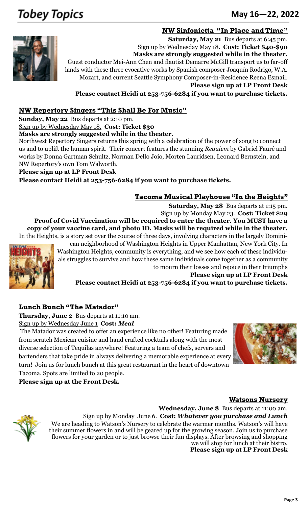# **Tobey Topics**

### June 18-24, 2012 <sup>253</sup>-752-<sup>6621</sup> **May 16—22, 2022**

### **NW Sinfonietta "In Place and Time"**



**Saturday, May 21** Bus departs at 6:45 pm. Sign up by Wednesday May 18. **Cost: Ticket \$40-\$90 Masks are strongly suggested while in the theater.** Guest conductor Mei-Ann Chen and flautist Demarre McGill transport us to far-off lands with these three evocative works by Spanish composer Joaquín Rodrigo, W.A. Mozart, and current Seattle Symphony Composer-in-Residence Reena Esmail.

**Please sign up at LP Front Desk**

**Please contact Heidi at 253-756-6284 if you want to purchase tickets.**

### **NW Repertory Singers "This Shall Be For Music"**

**Sunday, May 22** Bus departs at 2:10 pm.

Sign up by Wednesday May 18. **Cost: Ticket \$30**

**Masks are strongly suggested while in the theater.**

Northwest Repertory Singers returns this spring with a celebration of the power of song to connect us and to uplift the human spirit. Their concert features the stunning *Requiem* by Gabriel Fauré and works by Donna Gartman Schultz, Norman Dello Joio, Morten Lauridsen, Leonard Bernstein, and NW Repertory's own Tom Walworth.

### **Please sign up at LP Front Desk**

**Please contact Heidi at 253-756-6284 if you want to purchase tickets.**

### **Tacoma Musical Playhouse "In the Heights"**

**Saturday, May 28** Bus departs at 1:15 pm. Sign up by Monday May 23. **Cost: Ticket \$29 Proof of Covid Vaccination will be required to enter the theater. You MUST have a copy of your vaccine card, and photo ID. Masks will be required while in the theater.** In the Heights, is a story set over the course of three days, involving characters in the largely [Domini-](https://en.wikipedia.org/wiki/Culture_of_the_Dominican_Republic)



[can](https://en.wikipedia.org/wiki/Culture_of_the_Dominican_Republic) neighborhood of [Washington Heights](https://en.wikipedia.org/wiki/Washington_Heights,_Manhattan) in Upper Manhattan, New York City. In Washington Heights, community is everything, and we see how each of these individuals struggles to survive and how these same individuals come together as a community to mourn their losses and rejoice in their triumphs **Please sign up at LP Front Desk**

**Please contact Heidi at 253-756-6284 if you want to purchase tickets.**

### **Lunch Bunch "The Matador"**

**Thursday, June 2** Bus departs at 11:10 am. Sign up by Wednesday June 1 **Cost:** *Meal*

 The Matador was created to offer an experience like no other! Featuring made from scratch Mexican cuisine and hand crafted cocktails along with the most diverse selection of Tequilas anywhere! Featuring a team of chefs, servers and bartenders that take pride in always delivering a memorable experience at every turn! Join us for lunch bunch at this great restaurant in the heart of downtown Tacoma. Spots are limited to 20 people.



**Please sign up at the Front Desk.**

### **Watsons Nursery**



**Wednesday, June 8** Bus departs at 11:00 am. Sign up by Monday June 6. **Cost:** *Whatever you purchase and Lunch* We are heading to Watson's Nursery to celebrate the warmer months. Watson's will have their summer flowers in and will be geared up for the growing season. Join us to purchase flowers for your garden or to just browse their fun displays. After browsing and shopping we will stop for lunch at their bistro.

**Please sign up at LP Front Desk**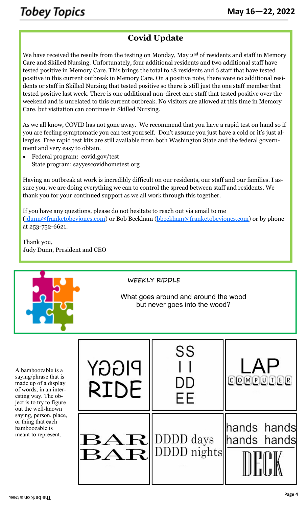### **Covid Update**

We have received the results from the testing on Monday, May  $2<sup>nd</sup>$  of residents and staff in Memory Care and Skilled Nursing. Unfortunately, four additional residents and two additional staff have tested positive in Memory Care. This brings the total to 18 residents and 6 staff that have tested positive in this current outbreak in Memory Care. On a positive note, there were no additional residents or staff in Skilled Nursing that tested positive so there is still just the one staff member that tested positive last week. There is one additional non-direct care staff that tested positive over the weekend and is unrelated to this current outbreak. No visitors are allowed at this time in Memory Care, but visitation can continue in Skilled Nursing.

As we all know, COVID has not gone away. We recommend that you have a rapid test on hand so if you are feeling symptomatic you can test yourself. Don't assume you just have a cold or it's just allergies. Free rapid test kits are still available from both Washington State and the federal government and very easy to obtain.

• Federal program: covid.gov/test State program: sayyescovidhometest.org

Having an outbreak at work is incredibly difficult on our residents, our staff and our families. I assure you, we are doing everything we can to control the spread between staff and residents. We thank you for your continued support as we all work through this together.

If you have any questions, please do not hesitate to reach out via email to me ([jdunn@franketobeyjones.com\)](mailto:jdunn@franketobeyjones.com) or Bob Beckham ([bbeckham@franketobeyjones.com\)](mailto:bbeckham@franketobeyjones.com) or by phone at 253-752-6621.

Thank you, Judy Dunn, President and CEO



**WEEKLY RIDDLE**

What goes around and around the wood but never goes into the wood?

A bamboozable is a saying/phrase that is made up of a display of words, in an interesting way. The object is to try to figure out the well-known saying, person, place, or thing that each bamboozable is meant to represent.

| PIGGY<br><b>RIDE</b> | SS<br>DD<br>ΕF                                         | LAP<br>COMPUDER            |
|----------------------|--------------------------------------------------------|----------------------------|
|                      | $\mathbf{BAR}$ DDDD days<br>$\mathbf{BAR}$ DDDD nights | hands hands<br>hands hands |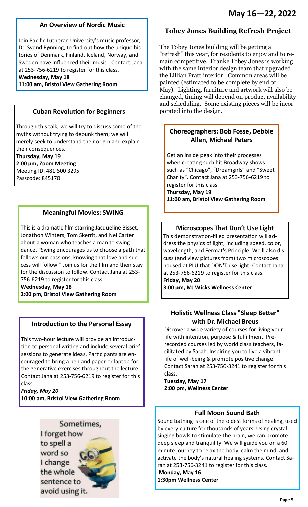### **An Overview of Nordic Music**

Join Pacific Lutheran University's music professor, Dr. Svend Rønning, to find out how the unique histories of Denmark, Finland, Iceland, Norway, and Sweden have influenced their music. Contact Jana at 253-756-6219 to register for this class.

**Wednesday, May 18**

**11:00 am, Bristol View Gathering Room** 

### **Cuban Revolution for Beginners**

Through this talk, we will try to discuss some of the myths without trying to debunk them; we will merely seek to understand their origin and explain their consequences. **Thursday, May 19 2:00 pm, Zoom Meeting**

Meeting ID: 481 600 3295 Passcode: 845170

### **Meaningful Movies: SWING**

This is a dramatic film starring Jacqueline Bisset, Jonathon Winters, Tom Skerrit, and Nel Carter about a woman who teaches a man to swing dance. "Swing encourages us to choose a path that follows our passions, knowing that love and success will follow." Join us for the film and then stay for the discussion to follow. Contact Jana at 253- 756-6219 to register for this class.

**Wednesday, May 18 2:00 pm, Bristol View Gathering Room** 

#### **Introduction to the Personal Essay**

This two-hour lecture will provide an introduction to personal writing and include several brief sessions to generate ideas. Participants are encouraged to bring a pen and paper or laptop for the generative exercises throughout the lecture. Contact Jana at 253-756-6219 to register for this class.

*Friday, May 20*  **10:00 am, Bristol View Gathering Room** 



#### **Tobey Jones Building Refresh Project**

The Tobey Jones building will be getting a "refresh" this year, for residents to enjoy and to remain competitive. Franke Tobey Jones is working with the same interior design team that upgraded the Lillian Pratt interior. Common areas will be painted (estimated to be complete by end of May). Lighting, furniture and artwork will also be changed, timing will depend on product availability and scheduling. Some existing pieces will be incorporated into the design.

### **Choreographers: Bob Fosse, Debbie Allen, Michael Peters**

Get an inside peak into their processes when creating such hit Broadway shows such as "Chicago", "Dreamgirls" and "Sweet Charity". Contact Jana at 253-756-6219 to register for this class. **Thursday, May 19** 

**11:00 am, Bristol View Gathering Room** 

#### **Microscopes That Don't Use Light**

This demonstration-filled presentation will address the physics of light, including speed, color, wavelength, and Fermat's Principle. We'll also discuss (and view pictures from) two microscopes housed at PLU that DON'T use light. Contact Jana at 253-756-6219 to register for this class. **Friday, May 20** 

**3:00 pm, MJ Wicks Wellness Center** 

### **Holistic Wellness Class "Sleep Better" with Dr. Michael Breus**

Discover a wide variety of courses for living your life with intention, purpose & fulfillment. Prerecorded courses led by world class teachers, facilitated by Sarah. Inspiring you to live a vibrant life of well-being & promote positive change. Contact Sarah at 253-756-3241 to register for this class.

**Tuesday, May 17 2:00 pm, Wellness Center** 

### **Full Moon Sound Bath**

Sound bathing is one of the oldest forms of healing, used by every culture for thousands of years. Using crystal singing bowls to stimulate the brain, we can promote deep sleep and tranquility. We will guide you on a 60 minute journey to relax the body, calm the mind, and activate the body's natural healing systems. Contact Sarah at 253-756-3241 to register for this class.

**Monday, May 16 1:30pm Wellness Center**